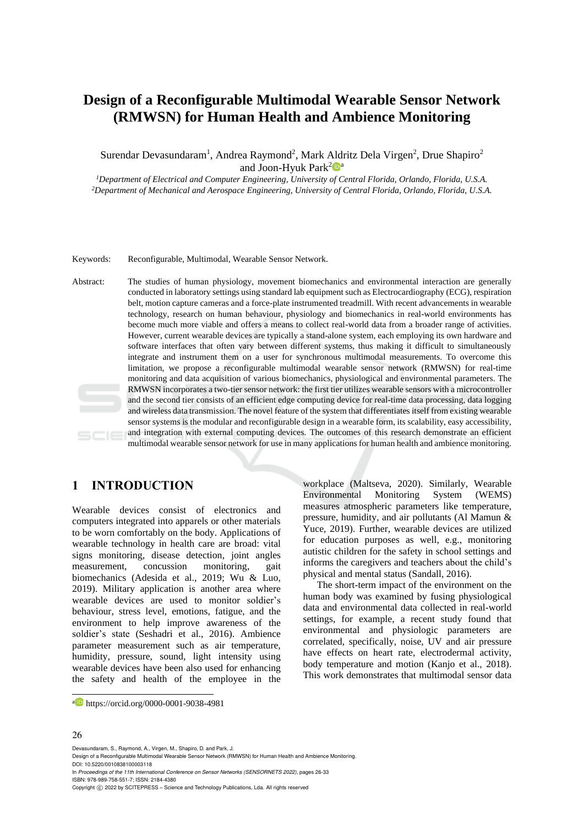# **Design of a Reconfigurable Multimodal Wearable Sensor Network (RMWSN) for Human Health and Ambience Monitoring**

Surendar Devasundaram<sup>1</sup>, Andrea Raymond<sup>2</sup>, Mark Aldritz Dela Virgen<sup>2</sup>, Drue Shapiro<sup>2</sup> and Joon-Hyuk Park<sup>2</sup> $\mathbf{P}^{\text{a}}$ 

*<sup>1</sup>Department of Electrical and Computer Engineering, University of Central Florida, Orlando, Florida, U.S.A. <sup>2</sup>Department of Mechanical and Aerospace Engineering, University of Central Florida, Orlando, Florida, U.S.A.*

Keywords: Reconfigurable, Multimodal, Wearable Sensor Network.

Abstract: The studies of human physiology, movement biomechanics and environmental interaction are generally conducted in laboratory settings using standard lab equipment such as Electrocardiography (ECG), respiration belt, motion capture cameras and a force-plate instrumented treadmill. With recent advancements in wearable technology, research on human behaviour, physiology and biomechanics in real-world environments has become much more viable and offers a means to collect real-world data from a broader range of activities. However, current wearable devices are typically a stand-alone system, each employing its own hardware and software interfaces that often vary between different systems, thus making it difficult to simultaneously integrate and instrument them on a user for synchronous multimodal measurements. To overcome this limitation, we propose a reconfigurable multimodal wearable sensor network (RMWSN) for real-time monitoring and data acquisition of various biomechanics, physiological and environmental parameters. The RMWSN incorporates a two-tier sensor network: the first tier utilizes wearable sensors with a microcontroller and the second tier consists of an efficient edge computing device for real-time data processing, data logging and wireless data transmission. The novel feature of the system that differentiates itself from existing wearable sensor systems is the modular and reconfigurable design in a wearable form, its scalability, easy accessibility, and integration with external computing devices. The outcomes of this research demonstrate an efficient multimodal wearable sensor network for use in many applications for human health and ambience monitoring.

# **1 INTRODUCTION**

Wearable devices consist of electronics and computers integrated into apparels or other materials to be worn comfortably on the body. Applications of wearable technology in health care are broad: vital signs monitoring, disease detection, joint angles measurement, concussion monitoring, gait biomechanics (Adesida et al., 2019; Wu & Luo, 2019). Military application is another area where wearable devices are used to monitor soldier's behaviour, stress level, emotions, fatigue, and the environment to help improve awareness of the soldier's state (Seshadri et al., 2016). Ambience parameter measurement such as air temperature, humidity, pressure, sound, light intensity using wearable devices have been also used for enhancing the safety and health of the employee in the

workplace (Maltseva, 2020). Similarly, Wearable Environmental Monitoring System (WEMS) measures atmospheric parameters like temperature, pressure, humidity, and air pollutants (Al Mamun & Yuce, 2019). Further, wearable devices are utilized for education purposes as well, e.g., monitoring autistic children for the safety in school settings and informs the caregivers and teachers about the child's physical and mental status (Sandall, 2016).

The short-term impact of the environment on the human body was examined by fusing physiological data and environmental data collected in real-world settings, for example, a recent study found that environmental and physiologic parameters are correlated, specifically, noise, UV and air pressure have effects on heart rate, electrodermal activity, body temperature and motion (Kanjo et al., 2018). This work demonstrates that multimodal sensor data

#### 26

Devasundaram, S., Raymond, A., Virgen, M., Shapiro, D. and Park, J.

Design of a Reconfigurable Multimodal Wearable Sensor Network (RMWSN) for Human Health and Ambience Monitoring. DOI: 10.5220/0010838100003118

In *Proceedings of the 11th International Conference on Sensor Networks (SENSORNETS 2022)*, pages 26-33 ISBN: 978-989-758-551-7; ISSN: 2184-4380

<sup>a</sup> https://orcid.org/0000-0001-9038-4981

Copyright © 2022 by SCITEPRESS - Science and Technology Publications, Lda. All rights reserved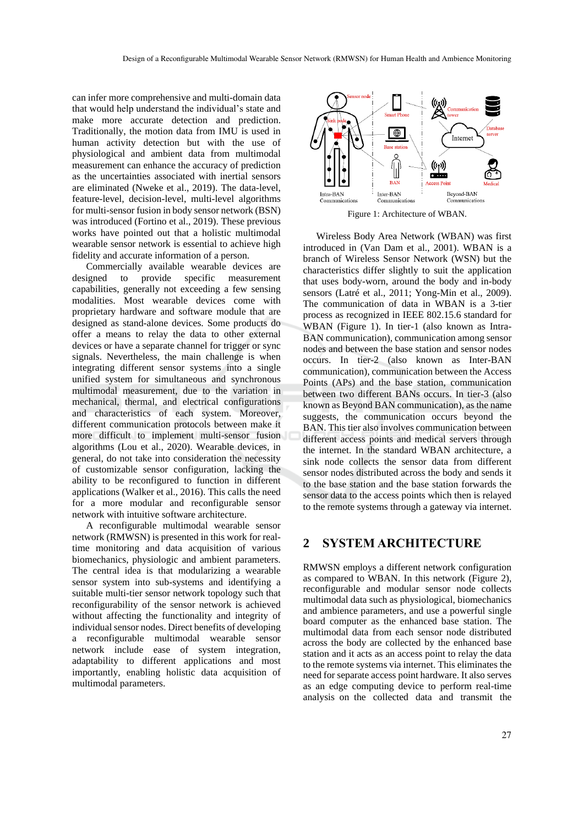can infer more comprehensive and multi-domain data that would help understand the individual's state and make more accurate detection and prediction. Traditionally, the motion data from IMU is used in human activity detection but with the use of physiological and ambient data from multimodal measurement can enhance the accuracy of prediction as the uncertainties associated with inertial sensors are eliminated (Nweke et al., 2019). The data-level, feature-level, decision-level, multi-level algorithms for multi-sensor fusion in body sensor network (BSN) was introduced (Fortino et al., 2019). These previous works have pointed out that a holistic multimodal wearable sensor network is essential to achieve high fidelity and accurate information of a person.

Commercially available wearable devices are designed to provide specific measurement capabilities, generally not exceeding a few sensing modalities. Most wearable devices come with proprietary hardware and software module that are designed as stand-alone devices. Some products do offer a means to relay the data to other external devices or have a separate channel for trigger or sync signals. Nevertheless, the main challenge is when integrating different sensor systems into a single unified system for simultaneous and synchronous multimodal measurement, due to the variation in mechanical, thermal, and electrical configurations and characteristics of each system. Moreover, different communication protocols between make it more difficult to implement multi-sensor fusion algorithms (Lou et al., 2020). Wearable devices, in general, do not take into consideration the necessity of customizable sensor configuration, lacking the ability to be reconfigured to function in different applications (Walker et al., 2016). This calls the need for a more modular and reconfigurable sensor network with intuitive software architecture.

A reconfigurable multimodal wearable sensor network (RMWSN) is presented in this work for realtime monitoring and data acquisition of various biomechanics, physiologic and ambient parameters. The central idea is that modularizing a wearable sensor system into sub-systems and identifying a suitable multi-tier sensor network topology such that reconfigurability of the sensor network is achieved without affecting the functionality and integrity of individual sensor nodes. Direct benefits of developing a reconfigurable multimodal wearable sensor network include ease of system integration, adaptability to different applications and most importantly, enabling holistic data acquisition of multimodal parameters.



Figure 1: Architecture of WBAN.

Wireless Body Area Network (WBAN) was first introduced in (Van Dam et al., 2001). WBAN is a branch of Wireless Sensor Network (WSN) but the characteristics differ slightly to suit the application that uses body-worn, around the body and in-body sensors (Latré et al., 2011; Yong-Min et al., 2009). The communication of data in WBAN is a 3-tier process as recognized in IEEE 802.15.6 standard for WBAN (Figure 1). In tier-1 (also known as Intra-BAN communication), communication among sensor nodes and between the base station and sensor nodes occurs. In tier-2 (also known as Inter-BAN communication), communication between the Access Points (APs) and the base station, communication between two different BANs occurs. In tier-3 (also known as Beyond BAN communication), as the name suggests, the communication occurs beyond the BAN. This tier also involves communication between different access points and medical servers through the internet. In the standard WBAN architecture, a sink node collects the sensor data from different sensor nodes distributed across the body and sends it to the base station and the base station forwards the sensor data to the access points which then is relayed to the remote systems through a gateway via internet.

## **2 SYSTEM ARCHITECTURE**

RMWSN employs a different network configuration as compared to WBAN. In this network (Figure 2), reconfigurable and modular sensor node collects multimodal data such as physiological, biomechanics and ambience parameters, and use a powerful single board computer as the enhanced base station. The multimodal data from each sensor node distributed across the body are collected by the enhanced base station and it acts as an access point to relay the data to the remote systems via internet. This eliminates the need for separate access point hardware. It also serves as an edge computing device to perform real-time analysis on the collected data and transmit the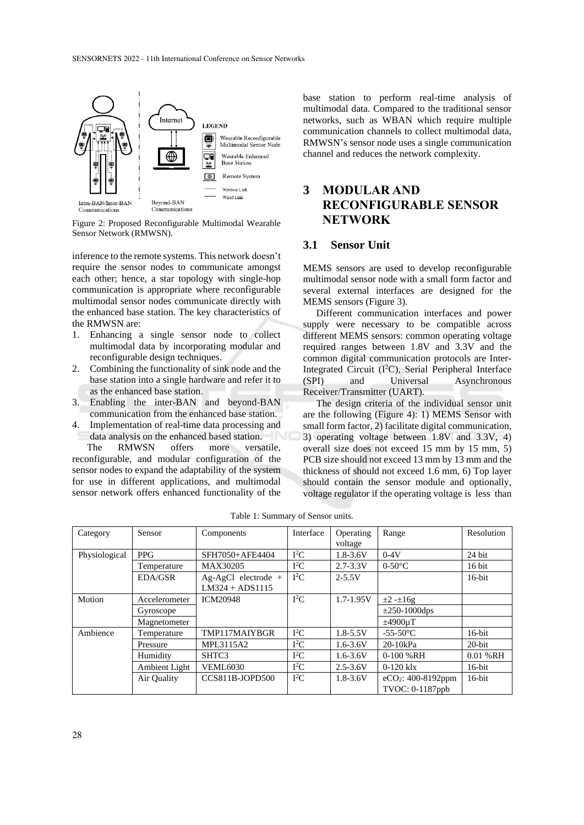

Figure 2: Proposed Reconfigurable Multimodal Wearable Sensor Network (RMWSN).

inference to the remote systems. This network doesn't require the sensor nodes to communicate amongst each other; hence, a star topology with single-hop communication is appropriate where reconfigurable multimodal sensor nodes communicate directly with the enhanced base station. The key characteristics of the RMWSN are:

- 1. Enhancing a single sensor node to collect multimodal data by incorporating modular and reconfigurable design techniques.
- 2. Combining the functionality of sink node and the base station into a single hardware and refer it to as the enhanced base station.
- 3. Enabling the inter-BAN and beyond-BAN communication from the enhanced base station.
- 4. Implementation of real-time data processing and data analysis on the enhanced based station.

The RMWSN offers more versatile, reconfigurable, and modular configuration of the sensor nodes to expand the adaptability of the system for use in different applications, and multimodal sensor network offers enhanced functionality of the base station to perform real-time analysis of multimodal data. Compared to the traditional sensor networks, such as WBAN which require multiple communication channels to collect multimodal data, RMWSN's sensor node uses a single communication channel and reduces the network complexity.

# **3 MODULAR AND RECONFIGURABLE SENSOR NETWORK**

#### **3.1 Sensor Unit**

MEMS sensors are used to develop reconfigurable multimodal sensor node with a small form factor and several external interfaces are designed for the MEMS sensors (Figure 3).

Different communication interfaces and power supply were necessary to be compatible across different MEMS sensors: common operating voltage required ranges between 1.8V and 3.3V and the common digital communication protocols are Inter-Integrated Circuit (I<sup>2</sup>C), Serial Peripheral Interface (SPI) and Universal Asynchronous Receiver/Transmitter (UART).

The design criteria of the individual sensor unit are the following (Figure 4): 1) MEMS Sensor with small form factor, 2) facilitate digital communication, 3) operating voltage between 1.8V and 3.3V, 4) overall size does not exceed 15 mm by 15 mm, 5) PCB size should not exceed 13 mm by 13 mm and the thickness of should not exceed 1.6 mm, 6) Top layer should contain the sensor module and optionally, voltage regulator if the operating voltage is less than

| Category      | Sensor        | Components            | Interface | Operating     | Range                | Resolution   |
|---------------|---------------|-----------------------|-----------|---------------|----------------------|--------------|
|               |               |                       |           | voltage       |                      |              |
| Physiological | <b>PPG</b>    | SFH7050+AFE4404       | $I^2C$    | $1.8 - 3.6V$  | $0-4V$               | 24 bit       |
|               | Temperature   | MAX30205              | $I^2C$    | $2.7 - 3.3V$  | $0-50$ °C            | $16$ bit     |
|               | EDA/GSR       | $Ag-AgCl$ electrode + | $I^2C$    | $2 - 5.5V$    |                      | $16$ -bit    |
|               |               | $LM324 + ADS1115$     |           |               |                      |              |
| Motion        | Accelerometer | <b>ICM20948</b>       | $I^2C$    | $1.7 - 1.95V$ | $\pm 2 - \pm 16g$    |              |
|               | Gyroscope     |                       |           |               | $\pm 250 - 1000$ dps |              |
|               | Magnetometer  |                       |           |               | $\pm 4900 \mu T$     |              |
| Ambience      | Temperature   | TMP117MAIYBGR         | $I^2C$    | $1.8 - 5.5V$  | $-55-50$ °C          | $16$ -bit    |
|               | Pressure      | MPL3115A2             | $I^2C$    | $1.6 - 3.6V$  | $20-10kPa$           | $20$ -bit    |
|               | Humidity      | SHTC3                 | $I^2C$    | $1.6 - 3.6V$  | $0-100$ % RH         | $0.01 \% RH$ |
|               | Ambient Light | <b>VEML6030</b>       | $I^2C$    | $2.5 - 3.6V$  | $0-120$ klx          | $16$ -bit    |
|               | Air Quality   | CCS811B-JOPD500       | $I^2C$    | $1.8 - 3.6V$  | $eCO2: 400-8192ppm$  | $16$ -bit    |
|               |               |                       |           |               | TVOC: 0-1187ppb      |              |

Table 1: Summary of Sensor units.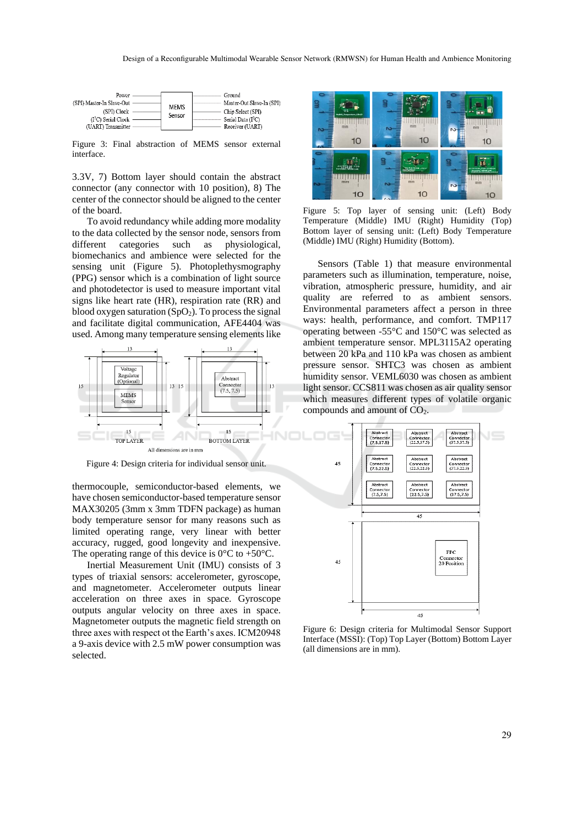

Figure 3: Final abstraction of MEMS sensor external interface.

3.3V, 7) Bottom layer should contain the abstract connector (any connector with 10 position), 8) The center of the connector should be aligned to the center of the board.

To avoid redundancy while adding more modality to the data collected by the sensor node, sensors from different categories such as physiological, biomechanics and ambience were selected for the sensing unit (Figure 5). Photoplethysmography (PPG) sensor which is a combination of light source and photodetector is used to measure important vital signs like heart rate (HR), respiration rate (RR) and blood oxygen saturation  $(SpO<sub>2</sub>)$ . To process the signal and facilitate digital communication, AFE4404 was used. Among many temperature sensing elements like



Figure 4: Design criteria for individual sensor unit.

thermocouple, semiconductor-based elements, we have chosen semiconductor-based temperature sensor MAX30205 (3mm x 3mm TDFN package) as human body temperature sensor for many reasons such as limited operating range, very linear with better accuracy, rugged, good longevity and inexpensive. The operating range of this device is  $0^{\circ}$ C to +50 $^{\circ}$ C.

Inertial Measurement Unit (IMU) consists of 3 types of triaxial sensors: accelerometer, gyroscope, and magnetometer. Accelerometer outputs linear acceleration on three axes in space. Gyroscope outputs angular velocity on three axes in space. Magnetometer outputs the magnetic field strength on three axes with respect ot the Earth's axes. ICM20948 a 9-axis device with 2.5 mW power consumption was selected.



Figure 5: Top layer of sensing unit: (Left) Body Temperature (Middle) IMU (Right) Humidity (Top) Bottom layer of sensing unit: (Left) Body Temperature (Middle) IMU (Right) Humidity (Bottom).

Sensors (Table 1) that measure environmental parameters such as illumination, temperature, noise, vibration, atmospheric pressure, humidity, and air quality are referred to as ambient sensors. Environmental parameters affect a person in three ways: health, performance, and comfort. TMP117 operating between -55°C and 150°C was selected as ambient temperature sensor. MPL3115A2 operating between 20 kPa and 110 kPa was chosen as ambient pressure sensor. SHTC3 was chosen as ambient humidity sensor. VEML6030 was chosen as ambient light sensor. CCS811 was chosen as air quality sensor which measures different types of volatile organic compounds and amount of CO<sub>2</sub>.



Figure 6: Design criteria for Multimodal Sensor Support Interface (MSSI): (Top) Top Layer (Bottom) Bottom Layer (all dimensions are in mm).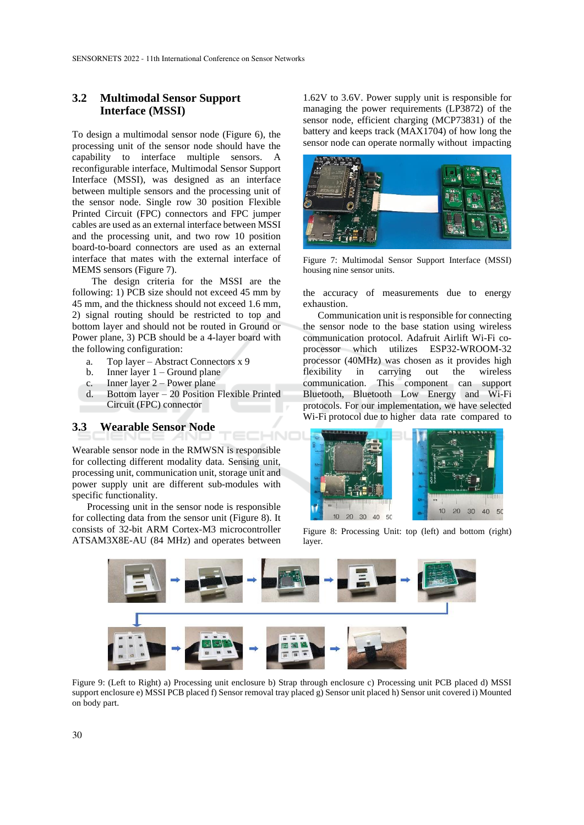### **3.2 Multimodal Sensor Support Interface (MSSI)**

To design a multimodal sensor node (Figure 6), the processing unit of the sensor node should have the capability to interface multiple sensors. A reconfigurable interface, Multimodal Sensor Support Interface (MSSI), was designed as an interface between multiple sensors and the processing unit of the sensor node. Single row 30 position Flexible Printed Circuit (FPC) connectors and FPC jumper cables are used as an external interface between MSSI and the processing unit, and two row 10 position board-to-board connectors are used as an external interface that mates with the external interface of MEMS sensors (Figure 7).

The design criteria for the MSSI are the following: 1) PCB size should not exceed 45 mm by 45 mm, and the thickness should not exceed 1.6 mm, 2) signal routing should be restricted to top and bottom layer and should not be routed in Ground or Power plane, 3) PCB should be a 4-layer board with the following configuration:

- a. Top layer Abstract Connectors x 9
- b. Inner layer  $1 -$  Ground plane
- c. Inner layer 2 Power plane
- d. Bottom layer 20 Position Flexible Printed Circuit (FPC) connector

#### **3.3 Wearable Sensor Node**

Wearable sensor node in the RMWSN is responsible for collecting different modality data. Sensing unit, processing unit, communication unit, storage unit and power supply unit are different sub-modules with specific functionality.

Processing unit in the sensor node is responsible for collecting data from the sensor unit (Figure 8). It consists of 32-bit ARM Cortex-M3 microcontroller ATSAM3X8E-AU (84 MHz) and operates between

1.62V to 3.6V. Power supply unit is responsible for managing the power requirements (LP3872) of the sensor node, efficient charging (MCP73831) of the battery and keeps track (MAX1704) of how long the sensor node can operate normally without impacting



Figure 7: Multimodal Sensor Support Interface (MSSI) housing nine sensor units.

the accuracy of measurements due to energy exhaustion.

Communication unit is responsible for connecting the sensor node to the base station using wireless communication protocol. Adafruit Airlift Wi-Fi coprocessor which utilizes ESP32-WROOM-32 processor (40MHz) was chosen as it provides high flexibility in carrying out the wireless communication. This component can support Bluetooth, Bluetooth Low Energy and Wi-Fi protocols. For our implementation, we have selected Wi-Fi protocol due to higher data rate compared to



Figure 8: Processing Unit: top (left) and bottom (right) layer.



HNC

Figure 9: (Left to Right) a) Processing unit enclosure b) Strap through enclosure c) Processing unit PCB placed d) MSSI support enclosure e) MSSI PCB placed f) Sensor removal tray placed g) Sensor unit placed h) Sensor unit covered i) Mounted on body part.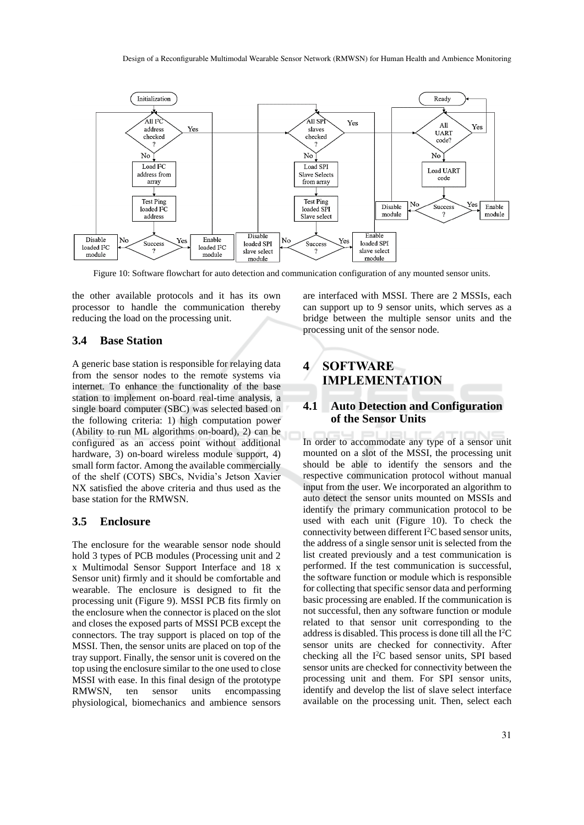

Figure 10: Software flowchart for auto detection and communication configuration of any mounted sensor units.

the other available protocols and it has its own processor to handle the communication thereby reducing the load on the processing unit.

#### **3.4 Base Station**

A generic base station is responsible for relaying data from the sensor nodes to the remote systems via internet. To enhance the functionality of the base station to implement on-board real-time analysis, a single board computer (SBC) was selected based on the following criteria: 1) high computation power (Ability to run ML algorithms on-board), 2) can be configured as an access point without additional hardware, 3) on-board wireless module support, 4) small form factor. Among the available commercially of the shelf (COTS) SBCs, Nvidia's Jetson Xavier NX satisfied the above criteria and thus used as the base station for the RMWSN.

#### **3.5 Enclosure**

The enclosure for the wearable sensor node should hold 3 types of PCB modules (Processing unit and 2 x Multimodal Sensor Support Interface and 18 x Sensor unit) firmly and it should be comfortable and wearable. The enclosure is designed to fit the processing unit (Figure 9). MSSI PCB fits firmly on the enclosure when the connector is placed on the slot and closes the exposed parts of MSSI PCB except the connectors. The tray support is placed on top of the MSSI. Then, the sensor units are placed on top of the tray support. Finally, the sensor unit is covered on the top using the enclosure similar to the one used to close MSSI with ease. In this final design of the prototype RMWSN, ten sensor units encompassing physiological, biomechanics and ambience sensors

are interfaced with MSSI. There are 2 MSSIs, each can support up to 9 sensor units, which serves as a bridge between the multiple sensor units and the processing unit of the sensor node.

# **4 SOFTWARE IMPLEMENTATION**

#### **4.1 Auto Detection and Configuration of the Sensor Units**

In order to accommodate any type of a sensor unit mounted on a slot of the MSSI, the processing unit should be able to identify the sensors and the respective communication protocol without manual input from the user. We incorporated an algorithm to auto detect the sensor units mounted on MSSIs and identify the primary communication protocol to be used with each unit (Figure 10). To check the connectivity between different  $I<sup>2</sup>C$  based sensor units, the address of a single sensor unit is selected from the list created previously and a test communication is performed. If the test communication is successful, the software function or module which is responsible for collecting that specific sensor data and performing basic processing are enabled. If the communication is not successful, then any software function or module related to that sensor unit corresponding to the address is disabled. This process is done till all the I<sup>2</sup>C sensor units are checked for connectivity. After checking all the  $I<sup>2</sup>C$  based sensor units, SPI based sensor units are checked for connectivity between the processing unit and them. For SPI sensor units, identify and develop the list of slave select interface available on the processing unit. Then, select each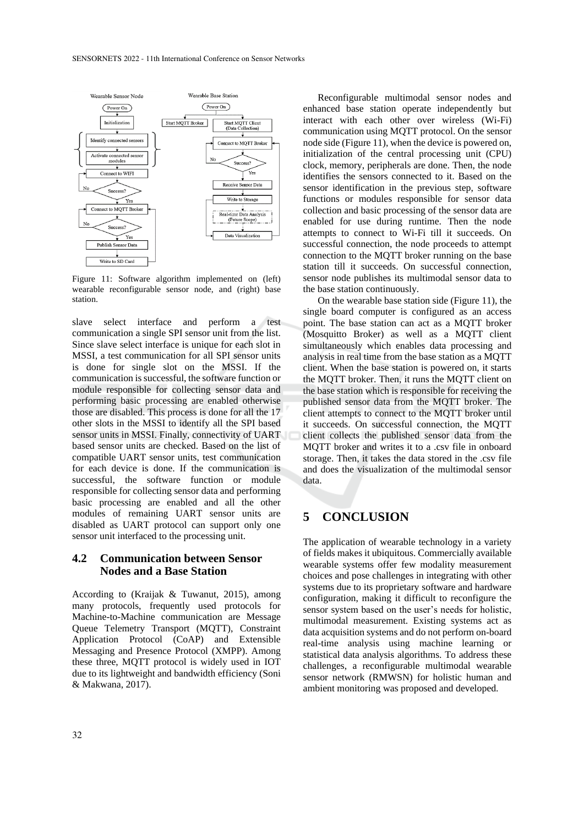

Figure 11: Software algorithm implemented on (left) wearable reconfigurable sensor node, and (right) base station.

slave select interface and perform a test communication a single SPI sensor unit from the list. Since slave select interface is unique for each slot in MSSI, a test communication for all SPI sensor units is done for single slot on the MSSI. If the communication is successful, the software function or module responsible for collecting sensor data and performing basic processing are enabled otherwise those are disabled. This process is done for all the 17 other slots in the MSSI to identify all the SPI based sensor units in MSSI. Finally, connectivity of UART based sensor units are checked. Based on the list of compatible UART sensor units, test communication for each device is done. If the communication is successful, the software function or module responsible for collecting sensor data and performing basic processing are enabled and all the other modules of remaining UART sensor units are disabled as UART protocol can support only one sensor unit interfaced to the processing unit.

### **4.2 Communication between Sensor Nodes and a Base Station**

According to (Kraijak & Tuwanut, 2015), among many protocols, frequently used protocols for Machine-to-Machine communication are Message Queue Telemetry Transport (MQTT), Constraint Application Protocol (CoAP) and Extensible Messaging and Presence Protocol (XMPP). Among these three, MQTT protocol is widely used in IOT due to its lightweight and bandwidth efficiency (Soni & Makwana, 2017).

Reconfigurable multimodal sensor nodes and enhanced base station operate independently but interact with each other over wireless (Wi-Fi) communication using MQTT protocol. On the sensor node side (Figure 11), when the device is powered on, initialization of the central processing unit (CPU) clock, memory, peripherals are done. Then, the node identifies the sensors connected to it. Based on the sensor identification in the previous step, software functions or modules responsible for sensor data collection and basic processing of the sensor data are enabled for use during runtime. Then the node attempts to connect to Wi-Fi till it succeeds. On successful connection, the node proceeds to attempt connection to the MQTT broker running on the base station till it succeeds. On successful connection, sensor node publishes its multimodal sensor data to the base station continuously.

On the wearable base station side (Figure 11), the single board computer is configured as an access point. The base station can act as a MQTT broker (Mosquitto Broker) as well as a MQTT client simultaneously which enables data processing and analysis in real time from the base station as a MQTT client. When the base station is powered on, it starts the MQTT broker. Then, it runs the MQTT client on the base station which is responsible for receiving the published sensor data from the MQTT broker. The client attempts to connect to the MQTT broker until it succeeds. On successful connection, the MQTT client collects the published sensor data from the MQTT broker and writes it to a .csv file in onboard storage. Then, it takes the data stored in the .csv file and does the visualization of the multimodal sensor data.

## **5 CONCLUSION**

The application of wearable technology in a variety of fields makes it ubiquitous. Commercially available wearable systems offer few modality measurement choices and pose challenges in integrating with other systems due to its proprietary software and hardware configuration, making it difficult to reconfigure the sensor system based on the user's needs for holistic, multimodal measurement. Existing systems act as data acquisition systems and do not perform on-board real-time analysis using machine learning or statistical data analysis algorithms. To address these challenges, a reconfigurable multimodal wearable sensor network (RMWSN) for holistic human and ambient monitoring was proposed and developed.